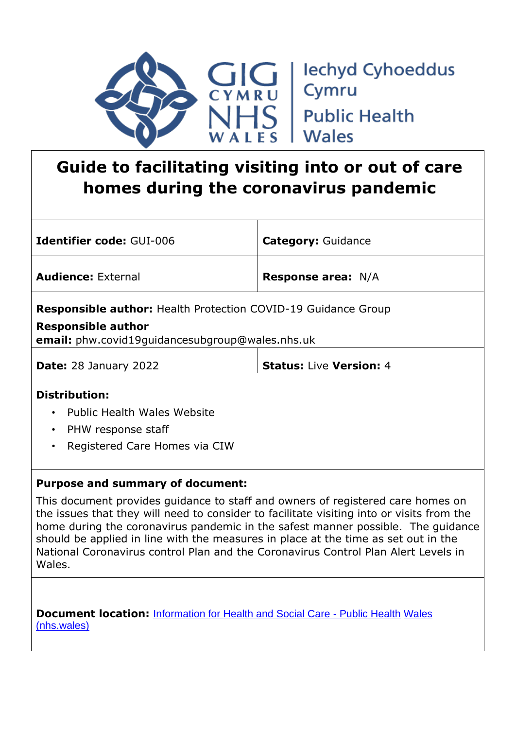

# **Guide to facilitating visiting into or out of care homes during the coronavirus pandemic**

| <b>Identifier code: GUI-006</b>                                                                                                                             | <b>Category: Guidance</b>      |  |
|-------------------------------------------------------------------------------------------------------------------------------------------------------------|--------------------------------|--|
| <b>Audience: External</b>                                                                                                                                   | <b>Response area: N/A</b>      |  |
| <b>Responsible author:</b> Health Protection COVID-19 Guidance Group<br><b>Responsible author</b><br><b>email:</b> phw.covid19quidancesubgroup@wales.nhs.uk |                                |  |
| <b>Date:</b> 28 January 2022                                                                                                                                | <b>Status: Live Version: 4</b> |  |
| <b>Distribution:</b><br><b>Public Health Wales Website</b><br>$\bullet$<br>PHW response staff<br>$\bullet$<br>Registered Care Homes via CIW<br>$\bullet$    |                                |  |
| <b>Purpose and summary of document:</b>                                                                                                                     |                                |  |

This document provides guidance to staff and owners of registered care homes on the issues that they will need to consider to facilitate visiting into or visits from the home during the coronavirus pandemic in the safest manner possible. The guidance should be applied in line with the measures in place at the time as set out in the National Coronavirus control Plan and the Coronavirus Control Plan Alert Levels in Wales.

**Document location:** [Information for Health and Social Care -](https://phw.nhs.wales/topics/latest-information-on-novel-coronavirus-covid-19/information-for-health-and-social-care/) Public Healt[h](https://phw.nhs.wales/topics/latest-information-on-novel-coronavirus-covid-19/information-for-health-and-social-care/) [Wales](https://phw.nhs.wales/topics/latest-information-on-novel-coronavirus-covid-19/information-for-health-and-social-care/)  [\(nhs.wales\)](https://phw.nhs.wales/topics/latest-information-on-novel-coronavirus-covid-19/information-for-health-and-social-care/)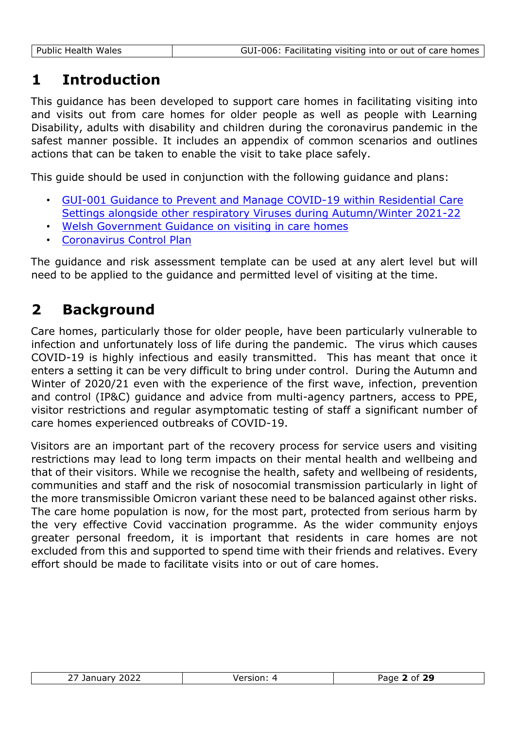### **1 Introduction**

This guidance has been developed to support care homes in facilitating visiting into and visits out from care homes for older people as well as people with Learning Disability, adults with disability and children during the coronavirus pandemic in the safest manner possible. It includes an appendix of common scenarios and outlines actions that can be taken to enable the visit to take place safely.

This guide should be used in conjunction with the following guidance and plans:

- [GUI-001 Guidance to Prevent and Manage COVID-19 within Residential Care](https://phw.nhs.wales/topics/latest-information-on-novel-coronavirus-covid-19/information-for-health-and-social-care/)  [Settings alongside other respiratory Viruses during Autumn/Winter 2021-22](https://phw.nhs.wales/topics/latest-information-on-novel-coronavirus-covid-19/information-for-health-and-social-care/)
- [Welsh Government Guidance on visiting in care homes](https://gov.wales/visits-care-homes-guidance-providers)
- [Coronavirus Control Plan](https://gov.wales/coronavirus-control-plans)

The guidance and risk assessment template can be used at any alert level but will need to be applied to the guidance and permitted level of visiting at the time.

## **2 Background**

Care homes, particularly those for older people, have been particularly vulnerable to infection and unfortunately loss of life during the pandemic. The virus which causes COVID-19 is highly infectious and easily transmitted. This has meant that once it enters a setting it can be very difficult to bring under control. During the Autumn and Winter of 2020/21 even with the experience of the first wave, infection, prevention and control (IP&C) guidance and advice from multi-agency partners, access to PPE, visitor restrictions and regular asymptomatic testing of staff a significant number of care homes experienced outbreaks of COVID-19.

Visitors are an important part of the recovery process for service users and visiting restrictions may lead to long term impacts on their mental health and wellbeing and that of their visitors. While we recognise the health, safety and wellbeing of residents, communities and staff and the risk of nosocomial transmission particularly in light of the more transmissible Omicron variant these need to be balanced against other risks. The care home population is now, for the most part, protected from serious harm by the very effective Covid vaccination programme. As the wider community enjoys greater personal freedom, it is important that residents in care homes are not excluded from this and supported to spend time with their friends and relatives. Every effort should be made to facilitate visits into or out of care homes.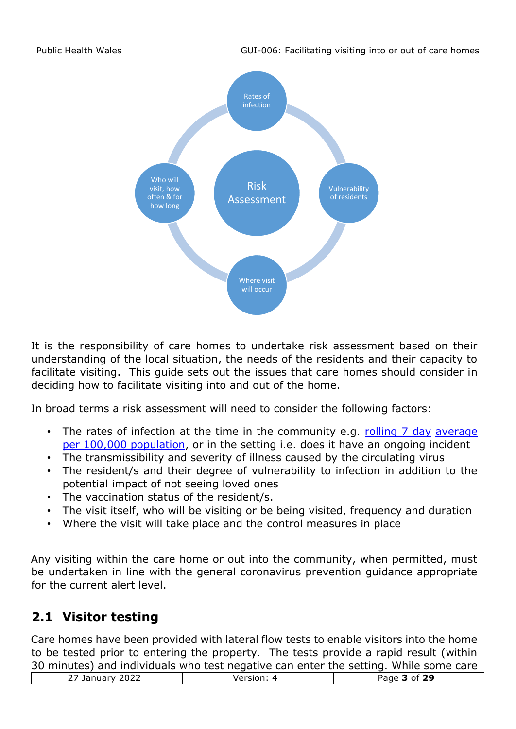

It is the responsibility of care homes to undertake risk assessment based on their understanding of the local situation, the needs of the residents and their capacity to facilitate visiting. This guide sets out the issues that care homes should consider in deciding how to facilitate visiting into and out of the home.

In broad terms a risk assessment will need to consider the following factors:

- The rates of infection at the time in the community e.g. [rolling 7 day](https://public.tableau.com/profile/public.health.wales.health.protection#!/vizhome/RapidCOVID-19virology-Public/Headlinesummary) average [per 100,000 population,](https://public.tableau.com/profile/public.health.wales.health.protection#!/vizhome/RapidCOVID-19virology-Public/Headlinesummary) or in the setting i.e. does it have an ongoing incident
- The transmissibility and severity of illness caused by the circulating virus
- The resident/s and their degree of vulnerability to infection in addition to the potential impact of not seeing loved ones
- The vaccination status of the resident/s.
- The visit itself, who will be visiting or be being visited, frequency and duration
- Where the visit will take place and the control measures in place

Any visiting within the care home or out into the community, when permitted, must be undertaken in line with the general coronavirus prevention guidance appropriate for the current alert level.

#### **2.1 Visitor testing**

Care homes have been provided with lateral flow tests to enable visitors into the home to be tested prior to entering the property. The tests provide a rapid result (within 30 minutes) and individuals who test negative can enter the setting. While some care

| so minutes) and marviaudis who test negative can enter the setting. While some care |              |
|-------------------------------------------------------------------------------------|--------------|
| January 2022                                                                        | Page 3 of 29 |
|                                                                                     |              |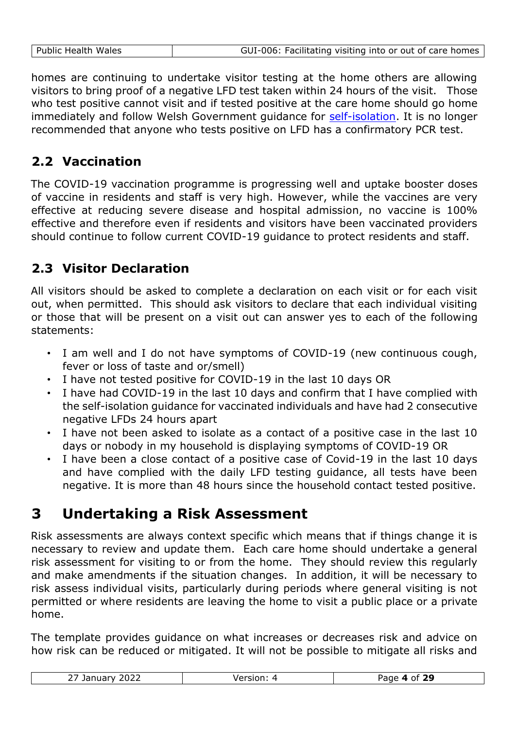| Public Health Wales | GUI-006: Facilitating visiting into or out of care homes |
|---------------------|----------------------------------------------------------|
|                     |                                                          |

homes are continuing to undertake visitor testing at the home others are allowing visitors to bring proof of a negative LFD test taken within 24 hours of the visit. Those who test positive cannot visit and if tested positive at the care home should go home immediately and follow Welsh Government guidance for [self-isolation.](https://gov.wales/self-isolation) It is no longer recommended that anyone who tests positive on LFD has a confirmatory PCR test.

#### **2.2 Vaccination**

The COVID-19 vaccination programme is progressing well and uptake booster doses of vaccine in residents and staff is very high. However, while the vaccines are very effective at reducing severe disease and hospital admission, no vaccine is 100% effective and therefore even if residents and visitors have been vaccinated providers should continue to follow current COVID-19 guidance to protect residents and staff.

#### **2.3 Visitor Declaration**

All visitors should be asked to complete a declaration on each visit or for each visit out, when permitted. This should ask visitors to declare that each individual visiting or those that will be present on a visit out can answer yes to each of the following statements:

- I am well and I do not have symptoms of COVID-19 (new continuous cough, fever or loss of taste and or/smell)
- I have not tested positive for COVID-19 in the last 10 days OR
- I have had COVID-19 in the last 10 days and confirm that I have complied with the self-isolation guidance for vaccinated individuals and have had 2 consecutive negative LFDs 24 hours apart
- I have not been asked to isolate as a contact of a positive case in the last 10 days or nobody in my household is displaying symptoms of COVID-19 OR
- I have been a close contact of a positive case of Covid-19 in the last 10 days and have complied with the daily LFD testing guidance, all tests have been negative. It is more than 48 hours since the household contact tested positive.

## **3 Undertaking a Risk Assessment**

Risk assessments are always context specific which means that if things change it is necessary to review and update them. Each care home should undertake a general risk assessment for visiting to or from the home. They should review this regularly and make amendments if the situation changes. In addition, it will be necessary to risk assess individual visits, particularly during periods where general visiting is not permitted or where residents are leaving the home to visit a public place or a private home.

The template provides guidance on what increases or decreases risk and advice on how risk can be reduced or mitigated. It will not be possible to mitigate all risks and

| 2022<br>~-<br>11583<br>January<br>$\sim$ / | orcion<br>rei Siuli. | 29<br>Page<br>∴of<br>$\mathbf{A}$ |
|--------------------------------------------|----------------------|-----------------------------------|
|--------------------------------------------|----------------------|-----------------------------------|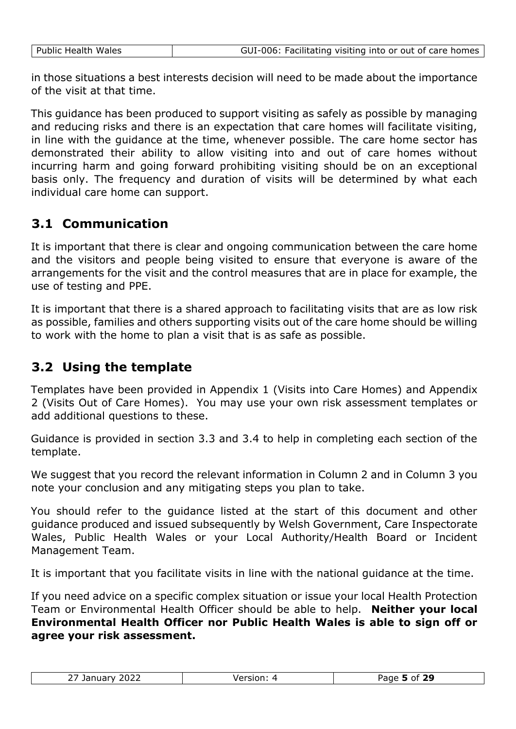|  | GUI-006: Facilitating visiting into or out of care homes |
|--|----------------------------------------------------------|
|--|----------------------------------------------------------|

in those situations a best interests decision will need to be made about the importance of the visit at that time.

This guidance has been produced to support visiting as safely as possible by managing and reducing risks and there is an expectation that care homes will facilitate visiting, in line with the guidance at the time, whenever possible. The care home sector has demonstrated their ability to allow visiting into and out of care homes without incurring harm and going forward prohibiting visiting should be on an exceptional basis only. The frequency and duration of visits will be determined by what each individual care home can support.

#### **3.1 Communication**

Public Health Wales

It is important that there is clear and ongoing communication between the care home and the visitors and people being visited to ensure that everyone is aware of the arrangements for the visit and the control measures that are in place for example, the use of testing and PPE.

It is important that there is a shared approach to facilitating visits that are as low risk as possible, families and others supporting visits out of the care home should be willing to work with the home to plan a visit that is as safe as possible.

#### **3.2 Using the template**

Templates have been provided in Appendix 1 (Visits into Care Homes) and Appendix 2 (Visits Out of Care Homes). You may use your own risk assessment templates or add additional questions to these.

Guidance is provided in section 3.3 and 3.4 to help in completing each section of the template.

We suggest that you record the relevant information in Column 2 and in Column 3 you note your conclusion and any mitigating steps you plan to take.

You should refer to the guidance listed at the start of this document and other guidance produced and issued subsequently by Welsh Government, Care Inspectorate Wales, Public Health Wales or your Local Authority/Health Board or Incident Management Team.

It is important that you facilitate visits in line with the national guidance at the time.

If you need advice on a specific complex situation or issue your local Health Protection Team or Environmental Health Officer should be able to help. **Neither your local Environmental Health Officer nor Public Health Wales is able to sign off or agree your risk assessment.**

| $\sim$ $\sim$ $\sim$<br>$\overline{\phantom{a}}$<br><b>The South of</b><br>$\sim$ / Jaliual V $\sim$<br>. | f 29<br><b>Dooo</b><br>റ+<br>-<br>zacie i |
|-----------------------------------------------------------------------------------------------------------|-------------------------------------------|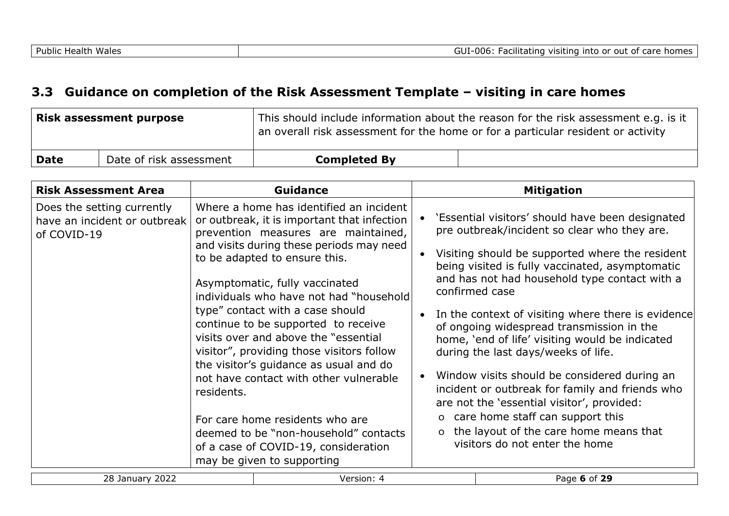#### **3.3 Guidance on completion of the Risk Assessment Template – visiting in care homes**

|      | Risk assessment purpose | This should include information about the reason for the risk assessment e.g. is it<br>an overall risk assessment for the home or for a particular resident or activity |  |
|------|-------------------------|-------------------------------------------------------------------------------------------------------------------------------------------------------------------------|--|
| Date | Date of risk assessment | <b>Completed By</b>                                                                                                                                                     |  |

| <b>Risk Assessment Area</b>                                               |            | <b>Guidance</b>                                                                                                                                                                                                                                                                                                                                                                                                                                                                                                                                                                                                                                                                               | <b>Mitigation</b>                                                                                                                                                                                                                                                                                                                                                                                                                                                                                                                                                                                                                                                                                                                           |
|---------------------------------------------------------------------------|------------|-----------------------------------------------------------------------------------------------------------------------------------------------------------------------------------------------------------------------------------------------------------------------------------------------------------------------------------------------------------------------------------------------------------------------------------------------------------------------------------------------------------------------------------------------------------------------------------------------------------------------------------------------------------------------------------------------|---------------------------------------------------------------------------------------------------------------------------------------------------------------------------------------------------------------------------------------------------------------------------------------------------------------------------------------------------------------------------------------------------------------------------------------------------------------------------------------------------------------------------------------------------------------------------------------------------------------------------------------------------------------------------------------------------------------------------------------------|
| Does the setting currently<br>have an incident or outbreak<br>of COVID-19 | residents. | Where a home has identified an incident<br>or outbreak, it is important that infection<br>prevention measures are maintained,<br>and visits during these periods may need<br>to be adapted to ensure this.<br>Asymptomatic, fully vaccinated<br>individuals who have not had "household<br>type" contact with a case should<br>continue to be supported to receive<br>visits over and above the "essential<br>visitor", providing those visitors follow<br>the visitor's guidance as usual and do<br>not have contact with other vulnerable<br>For care home residents who are<br>deemed to be "non-household" contacts<br>of a case of COVID-19, consideration<br>may be given to supporting | 'Essential visitors' should have been designated<br>pre outbreak/incident so clear who they are.<br>Visiting should be supported where the resident<br>being visited is fully vaccinated, asymptomatic<br>and has not had household type contact with a<br>confirmed case<br>In the context of visiting where there is evidence<br>of ongoing widespread transmission in the<br>home, 'end of life' visiting would be indicated<br>during the last days/weeks of life.<br>Window visits should be considered during an<br>incident or outbreak for family and friends who<br>are not the 'essential visitor', provided:<br>o care home staff can support this<br>o the layout of the care home means that<br>visitors do not enter the home |
| 28 January 2022                                                           |            | Version: 4                                                                                                                                                                                                                                                                                                                                                                                                                                                                                                                                                                                                                                                                                    | Page 6 of 29                                                                                                                                                                                                                                                                                                                                                                                                                                                                                                                                                                                                                                                                                                                                |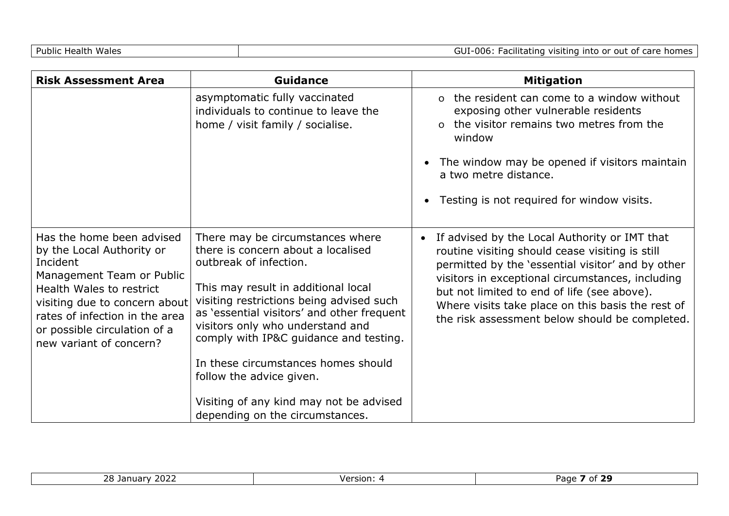| <b>Risk Assessment Area</b>                                                                                                                                                                                                                               | Guidance                                                                                                                                                                                                                                                                                                                                                                                                                                                         | <b>Mitigation</b>                                                                                                                                                                                                                                                                                                                                               |
|-----------------------------------------------------------------------------------------------------------------------------------------------------------------------------------------------------------------------------------------------------------|------------------------------------------------------------------------------------------------------------------------------------------------------------------------------------------------------------------------------------------------------------------------------------------------------------------------------------------------------------------------------------------------------------------------------------------------------------------|-----------------------------------------------------------------------------------------------------------------------------------------------------------------------------------------------------------------------------------------------------------------------------------------------------------------------------------------------------------------|
|                                                                                                                                                                                                                                                           | asymptomatic fully vaccinated<br>individuals to continue to leave the<br>home / visit family / socialise.                                                                                                                                                                                                                                                                                                                                                        | o the resident can come to a window without<br>exposing other vulnerable residents<br>o the visitor remains two metres from the<br>window<br>The window may be opened if visitors maintain<br>$\bullet$<br>a two metre distance.<br>Testing is not required for window visits.<br>$\bullet$                                                                     |
| Has the home been advised<br>by the Local Authority or<br>Incident<br>Management Team or Public<br>Health Wales to restrict<br>visiting due to concern about<br>rates of infection in the area<br>or possible circulation of a<br>new variant of concern? | There may be circumstances where<br>there is concern about a localised<br>outbreak of infection.<br>This may result in additional local<br>visiting restrictions being advised such<br>as 'essential visitors' and other frequent<br>visitors only who understand and<br>comply with IP&C guidance and testing.<br>In these circumstances homes should<br>follow the advice given.<br>Visiting of any kind may not be advised<br>depending on the circumstances. | If advised by the Local Authority or IMT that<br>routine visiting should cease visiting is still<br>permitted by the 'essential visitor' and by other<br>visitors in exceptional circumstances, including<br>but not limited to end of life (see above).<br>Where visits take place on this basis the rest of<br>the risk assessment below should be completed. |

| ררחר<br>ົ <u>ດດ</u> 1<br>Janua<br>∠o<br>∠∠∪ | Version: | --<br>Page<br>oт |
|---------------------------------------------|----------|------------------|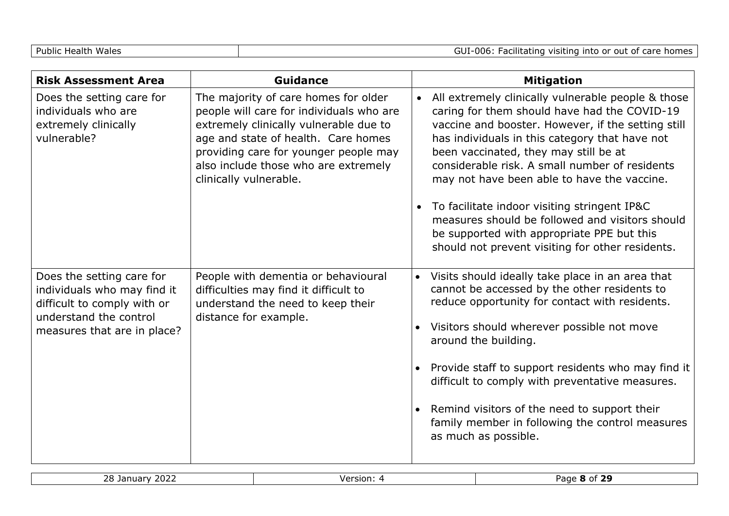| <b>Risk Assessment Area</b>                                                                                                                      | <b>Guidance</b>                                                                                                                                                                                                                                                              | <b>Mitigation</b>                                                                                                                                                                                                                                                                                                                                                                                                                                                                                                                                         |
|--------------------------------------------------------------------------------------------------------------------------------------------------|------------------------------------------------------------------------------------------------------------------------------------------------------------------------------------------------------------------------------------------------------------------------------|-----------------------------------------------------------------------------------------------------------------------------------------------------------------------------------------------------------------------------------------------------------------------------------------------------------------------------------------------------------------------------------------------------------------------------------------------------------------------------------------------------------------------------------------------------------|
| Does the setting care for<br>individuals who are<br>extremely clinically<br>vulnerable?                                                          | The majority of care homes for older<br>people will care for individuals who are<br>extremely clinically vulnerable due to<br>age and state of health. Care homes<br>providing care for younger people may<br>also include those who are extremely<br>clinically vulnerable. | All extremely clinically vulnerable people & those<br>caring for them should have had the COVID-19<br>vaccine and booster. However, if the setting still<br>has individuals in this category that have not<br>been vaccinated, they may still be at<br>considerable risk. A small number of residents<br>may not have been able to have the vaccine.<br>To facilitate indoor visiting stringent IP&C<br>measures should be followed and visitors should<br>be supported with appropriate PPE but this<br>should not prevent visiting for other residents. |
| Does the setting care for<br>individuals who may find it<br>difficult to comply with or<br>understand the control<br>measures that are in place? | People with dementia or behavioural<br>difficulties may find it difficult to<br>understand the need to keep their<br>distance for example.                                                                                                                                   | Visits should ideally take place in an area that<br>$\bullet$<br>cannot be accessed by the other residents to<br>reduce opportunity for contact with residents.<br>Visitors should wherever possible not move<br>around the building.<br>Provide staff to support residents who may find it<br>difficult to comply with preventative measures.<br>Remind visitors of the need to support their<br>$\bullet$<br>family member in following the control measures<br>as much as possible.                                                                    |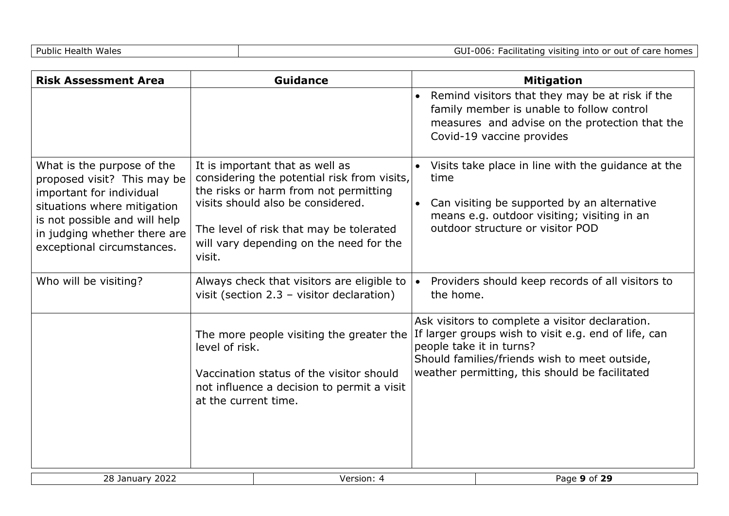GUI-006: Facilitating visiting into or out of care homes

| <b>Risk Assessment Area</b>                                                                                                                                                                                         |                                        | <b>Guidance</b>                                                                                                                                                                                                                                    |           |           | <b>Mitigation</b>                                                                                                                                                                                                                      |
|---------------------------------------------------------------------------------------------------------------------------------------------------------------------------------------------------------------------|----------------------------------------|----------------------------------------------------------------------------------------------------------------------------------------------------------------------------------------------------------------------------------------------------|-----------|-----------|----------------------------------------------------------------------------------------------------------------------------------------------------------------------------------------------------------------------------------------|
|                                                                                                                                                                                                                     |                                        |                                                                                                                                                                                                                                                    | $\bullet$ |           | Remind visitors that they may be at risk if the<br>family member is unable to follow control<br>measures and advise on the protection that the<br>Covid-19 vaccine provides                                                            |
| What is the purpose of the<br>proposed visit? This may be<br>important for individual<br>situations where mitigation<br>is not possible and will help<br>in judging whether there are<br>exceptional circumstances. | visit.                                 | It is important that as well as<br>considering the potential risk from visits,<br>the risks or harm from not permitting<br>visits should also be considered.<br>The level of risk that may be tolerated<br>will vary depending on the need for the |           | time      | Visits take place in line with the guidance at the<br>Can visiting be supported by an alternative<br>means e.g. outdoor visiting; visiting in an<br>outdoor structure or visitor POD                                                   |
| Who will be visiting?                                                                                                                                                                                               |                                        | Always check that visitors are eligible to<br>visit (section $2.3$ – visitor declaration)                                                                                                                                                          | $\bullet$ | the home. | Providers should keep records of all visitors to                                                                                                                                                                                       |
|                                                                                                                                                                                                                     | level of risk.<br>at the current time. | The more people visiting the greater the<br>Vaccination status of the visitor should<br>not influence a decision to permit a visit                                                                                                                 |           |           | Ask visitors to complete a visitor declaration.<br>If larger groups wish to visit e.g. end of life, can<br>people take it in turns?<br>Should families/friends wish to meet outside,<br>weather permitting, this should be facilitated |
| 28 January 2022                                                                                                                                                                                                     |                                        | Version: 4                                                                                                                                                                                                                                         |           |           | Page 9 of 29                                                                                                                                                                                                                           |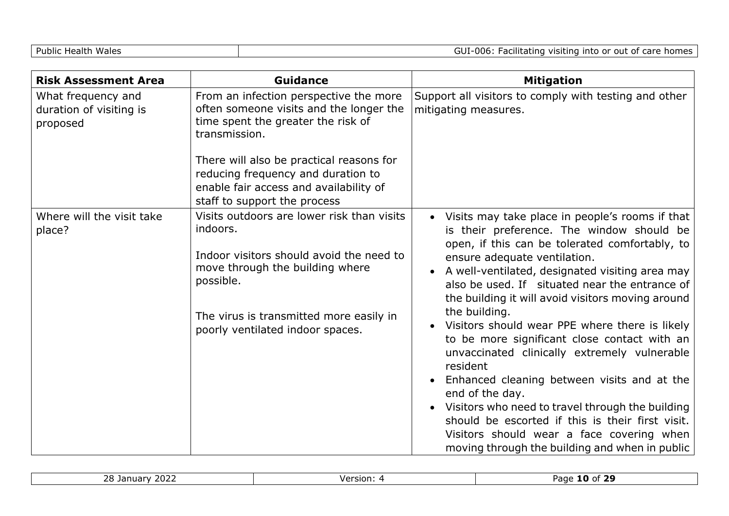| <b>Risk Assessment Area</b>                               | <b>Guidance</b>                                                                                                                                          | <b>Mitigation</b>                                                                                                                                                                                                                                                                                                                                                                                                                                    |
|-----------------------------------------------------------|----------------------------------------------------------------------------------------------------------------------------------------------------------|------------------------------------------------------------------------------------------------------------------------------------------------------------------------------------------------------------------------------------------------------------------------------------------------------------------------------------------------------------------------------------------------------------------------------------------------------|
| What frequency and<br>duration of visiting is<br>proposed | From an infection perspective the more<br>often someone visits and the longer the<br>time spent the greater the risk of<br>transmission.                 | Support all visitors to comply with testing and other<br>mitigating measures.                                                                                                                                                                                                                                                                                                                                                                        |
|                                                           | There will also be practical reasons for<br>reducing frequency and duration to<br>enable fair access and availability of<br>staff to support the process |                                                                                                                                                                                                                                                                                                                                                                                                                                                      |
| Where will the visit take<br>place?                       | Visits outdoors are lower risk than visits<br>indoors.<br>Indoor visitors should avoid the need to<br>move through the building where<br>possible.       | Visits may take place in people's rooms if that<br>$\bullet$<br>is their preference. The window should be<br>open, if this can be tolerated comfortably, to<br>ensure adequate ventilation.<br>A well-ventilated, designated visiting area may<br>also be used. If situated near the entrance of<br>the building it will avoid visitors moving around                                                                                                |
|                                                           | The virus is transmitted more easily in<br>poorly ventilated indoor spaces.                                                                              | the building.<br>Visitors should wear PPE where there is likely<br>to be more significant close contact with an<br>unvaccinated clinically extremely vulnerable<br>resident<br>Enhanced cleaning between visits and at the<br>end of the day.<br>Visitors who need to travel through the building<br>should be escorted if this is their first visit.<br>Visitors should wear a face covering when<br>moving through the building and when in public |

| مطمطان<br>``<br>Page<br>Version<br><u>¬ п</u><br>nτ<br>$\sim$<br>.<br>ימו<br>7.UZ∟<br>- - |
|-------------------------------------------------------------------------------------------|
|-------------------------------------------------------------------------------------------|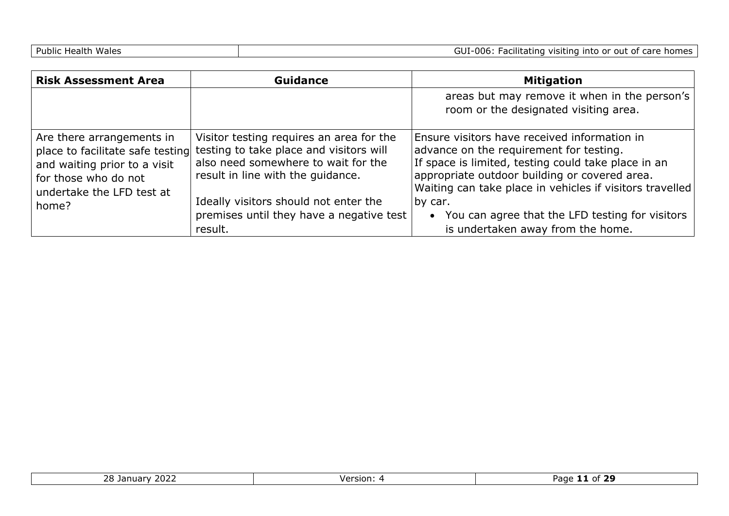| <b>Risk Assessment Area</b>                                                                                                                                 | <b>Guidance</b>                                                                                                                                                                                                                                      | <b>Mitigation</b>                                                                                                                                                                                                                                                                                                                      |
|-------------------------------------------------------------------------------------------------------------------------------------------------------------|------------------------------------------------------------------------------------------------------------------------------------------------------------------------------------------------------------------------------------------------------|----------------------------------------------------------------------------------------------------------------------------------------------------------------------------------------------------------------------------------------------------------------------------------------------------------------------------------------|
|                                                                                                                                                             |                                                                                                                                                                                                                                                      | areas but may remove it when in the person's<br>room or the designated visiting area.                                                                                                                                                                                                                                                  |
| Are there arrangements in<br>place to facilitate safe testing<br>and waiting prior to a visit<br>for those who do not<br>undertake the LFD test at<br>home? | Visitor testing requires an area for the<br>testing to take place and visitors will<br>also need somewhere to wait for the<br>result in line with the quidance.<br>Ideally visitors should not enter the<br>premises until they have a negative test | Ensure visitors have received information in<br>advance on the requirement for testing.<br>If space is limited, testing could take place in an<br>appropriate outdoor building or covered area.<br>Waiting can take place in vehicles if visitors travelled<br>by car.<br>You can agree that the LFD testing for visitors<br>$\bullet$ |
|                                                                                                                                                             | result.                                                                                                                                                                                                                                              | is undertaken away from the home.                                                                                                                                                                                                                                                                                                      |

| ררחר<br>$\sim$ $\sim$<br>. .<br>Janua'<br>$\sim$<br>ZUZZ<br>∠∪ | Version: | .<br>Page<br>ю<br>nt<br>-- |
|----------------------------------------------------------------|----------|----------------------------|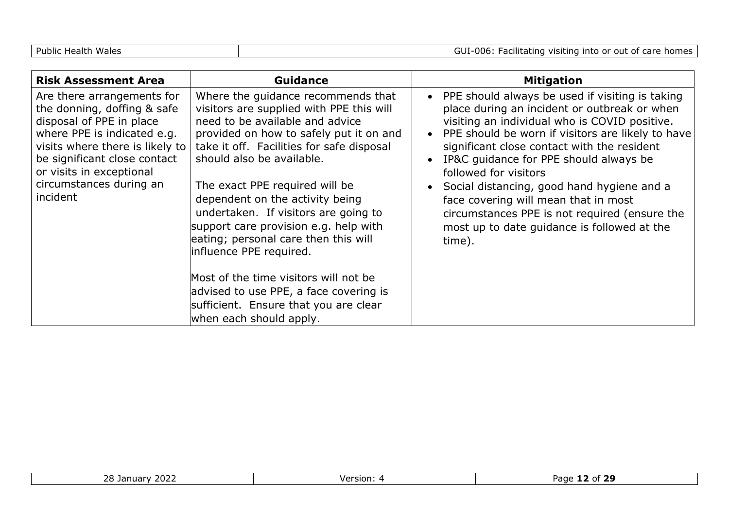| <b>Risk Assessment Area</b>                                                                                                                                                                                                                                | <b>Guidance</b>                                                                                                                                                                                                                                                                                                                                                                                                                                                                                                                                                                                                        | <b>Mitigation</b>                                                                                                                                                                                                                                                                                                                                                                                                                                                                                                           |
|------------------------------------------------------------------------------------------------------------------------------------------------------------------------------------------------------------------------------------------------------------|------------------------------------------------------------------------------------------------------------------------------------------------------------------------------------------------------------------------------------------------------------------------------------------------------------------------------------------------------------------------------------------------------------------------------------------------------------------------------------------------------------------------------------------------------------------------------------------------------------------------|-----------------------------------------------------------------------------------------------------------------------------------------------------------------------------------------------------------------------------------------------------------------------------------------------------------------------------------------------------------------------------------------------------------------------------------------------------------------------------------------------------------------------------|
| Are there arrangements for<br>the donning, doffing & safe<br>disposal of PPE in place<br>where PPE is indicated e.g.<br>visits where there is likely to<br>be significant close contact<br>or visits in exceptional<br>circumstances during an<br>incident | Where the guidance recommends that<br>visitors are supplied with PPE this will<br>need to be available and advice<br>provided on how to safely put it on and<br>take it off. Facilities for safe disposal<br>should also be available.<br>The exact PPE required will be<br>dependent on the activity being<br>undertaken. If visitors are going to<br>support care provision e.g. help with<br>eating; personal care then this will<br>influence PPE required.<br>Most of the time visitors will not be<br>advised to use PPE, a face covering is<br>sufficient. Ensure that you are clear<br>when each should apply. | • PPE should always be used if visiting is taking<br>place during an incident or outbreak or when<br>visiting an individual who is COVID positive.<br>PPE should be worn if visitors are likely to have<br>significant close contact with the resident<br>IP&C guidance for PPE should always be<br>followed for visitors<br>• Social distancing, good hand hygiene and a<br>face covering will mean that in most<br>circumstances PPE is not required (ensure the<br>most up to date guidance is followed at the<br>time). |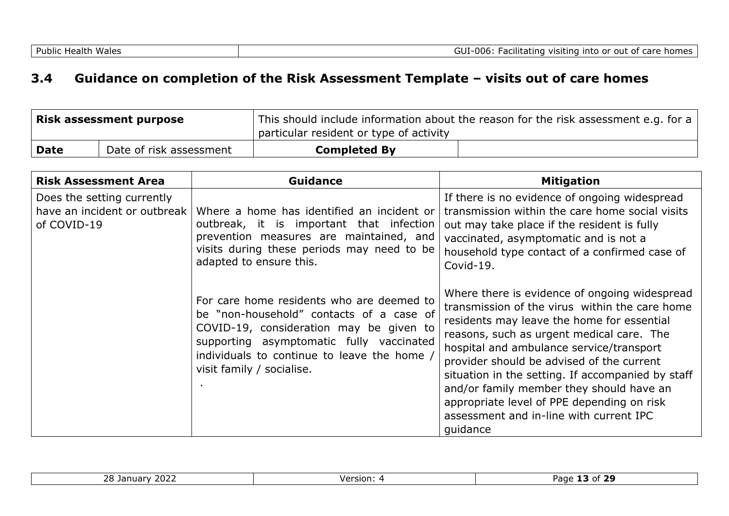#### **3.4 Guidance on completion of the Risk Assessment Template – visits out of care homes**

| <b>Risk assessment purpose</b> |                         | This should include information about the reason for the risk assessment e.g. for a $ $<br>particular resident or type of activity |  |
|--------------------------------|-------------------------|------------------------------------------------------------------------------------------------------------------------------------|--|
| <b>Date</b>                    | Date of risk assessment | <b>Completed By</b>                                                                                                                |  |

| <b>Risk Assessment Area</b>                                               | <b>Guidance</b>                                                                                                                                                                                                                                          | <b>Mitigation</b>                                                                                                                                                                                                                                                                                                                                                                                                                                                                         |
|---------------------------------------------------------------------------|----------------------------------------------------------------------------------------------------------------------------------------------------------------------------------------------------------------------------------------------------------|-------------------------------------------------------------------------------------------------------------------------------------------------------------------------------------------------------------------------------------------------------------------------------------------------------------------------------------------------------------------------------------------------------------------------------------------------------------------------------------------|
| Does the setting currently<br>have an incident or outbreak<br>of COVID-19 | Where a home has identified an incident or<br>outbreak, it is important that infection<br>prevention measures are maintained, and<br>visits during these periods may need to be<br>adapted to ensure this.                                               | If there is no evidence of ongoing widespread<br>transmission within the care home social visits<br>out may take place if the resident is fully<br>vaccinated, asymptomatic and is not a<br>household type contact of a confirmed case of<br>Covid-19.                                                                                                                                                                                                                                    |
|                                                                           | For care home residents who are deemed to<br>be "non-household" contacts of a case of<br>COVID-19, consideration may be given to<br>supporting asymptomatic fully vaccinated<br>individuals to continue to leave the home /<br>visit family / socialise. | Where there is evidence of ongoing widespread<br>transmission of the virus within the care home<br>residents may leave the home for essential<br>reasons, such as urgent medical care. The<br>hospital and ambulance service/transport<br>provider should be advised of the current<br>situation in the setting. If accompanied by staff<br>and/or family member they should have an<br>appropriate level of PPE depending on risk<br>assessment and in-line with current IPC<br>quidance |

| $\sim$<br>י הר<br>$\sqrt{2}$<br><u>' 2022 </u><br>- Januar .<br>້ | . .<br>Version:<br>$\overline{\mathbf{u}}$ | .<br>Page<br>210<br>.nt |
|-------------------------------------------------------------------|--------------------------------------------|-------------------------|
|                                                                   |                                            |                         |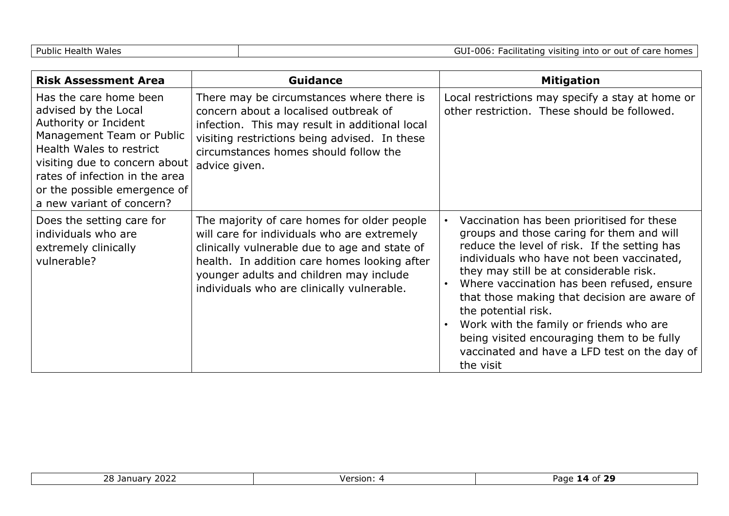| Public Health Wales |  |  |  |  |  |  |  |
|---------------------|--|--|--|--|--|--|--|
|---------------------|--|--|--|--|--|--|--|

| <b>Risk Assessment Area</b>                                                                                                                                                                                                                                      | <b>Guidance</b>                                                                                                                                                                                                                                                                      | <b>Mitigation</b>                                                                                                                                                                                                                                                                                                                                                                                                                                                                                          |
|------------------------------------------------------------------------------------------------------------------------------------------------------------------------------------------------------------------------------------------------------------------|--------------------------------------------------------------------------------------------------------------------------------------------------------------------------------------------------------------------------------------------------------------------------------------|------------------------------------------------------------------------------------------------------------------------------------------------------------------------------------------------------------------------------------------------------------------------------------------------------------------------------------------------------------------------------------------------------------------------------------------------------------------------------------------------------------|
| Has the care home been<br>advised by the Local<br>Authority or Incident<br>Management Team or Public<br>Health Wales to restrict<br>visiting due to concern about<br>rates of infection in the area<br>or the possible emergence of<br>a new variant of concern? | There may be circumstances where there is<br>concern about a localised outbreak of<br>infection. This may result in additional local<br>visiting restrictions being advised. In these<br>circumstances homes should follow the<br>advice given.                                      | Local restrictions may specify a stay at home or<br>other restriction. These should be followed.                                                                                                                                                                                                                                                                                                                                                                                                           |
| Does the setting care for<br>individuals who are<br>extremely clinically<br>vulnerable?                                                                                                                                                                          | The majority of care homes for older people<br>will care for individuals who are extremely<br>clinically vulnerable due to age and state of<br>health. In addition care homes looking after<br>younger adults and children may include<br>individuals who are clinically vulnerable. | Vaccination has been prioritised for these<br>groups and those caring for them and will<br>reduce the level of risk. If the setting has<br>individuals who have not been vaccinated,<br>they may still be at considerable risk.<br>Where vaccination has been refused, ensure<br>that those making that decision are aware of<br>the potential risk.<br>Work with the family or friends who are<br>being visited encouraging them to be fully<br>vaccinated and have a LFD test on the day of<br>the visit |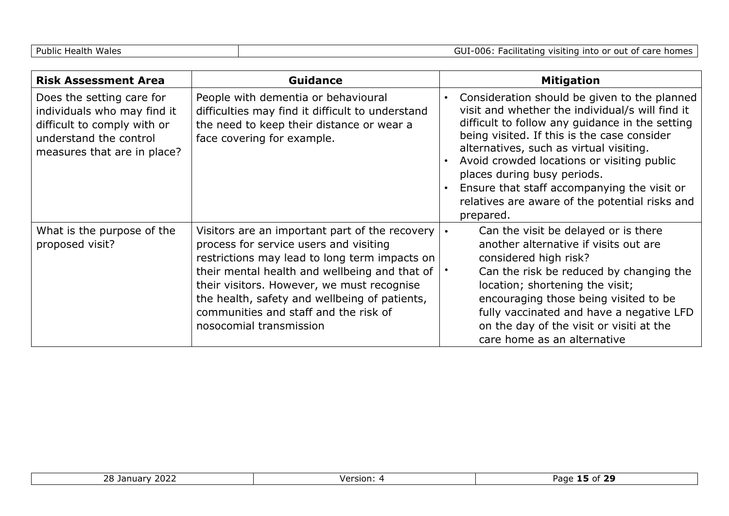| <b>Risk Assessment Area</b>                                                                                                                      | <b>Guidance</b>                                                                                                                                                                                                                                                                                                                                               |           | <b>Mitigation</b>                                                                                                                                                                                                                                                                                                                                                                                                                       |
|--------------------------------------------------------------------------------------------------------------------------------------------------|---------------------------------------------------------------------------------------------------------------------------------------------------------------------------------------------------------------------------------------------------------------------------------------------------------------------------------------------------------------|-----------|-----------------------------------------------------------------------------------------------------------------------------------------------------------------------------------------------------------------------------------------------------------------------------------------------------------------------------------------------------------------------------------------------------------------------------------------|
| Does the setting care for<br>individuals who may find it<br>difficult to comply with or<br>understand the control<br>measures that are in place? | People with dementia or behavioural<br>difficulties may find it difficult to understand<br>the need to keep their distance or wear a<br>face covering for example.                                                                                                                                                                                            | $\bullet$ | Consideration should be given to the planned<br>visit and whether the individual/s will find it<br>difficult to follow any guidance in the setting<br>being visited. If this is the case consider<br>alternatives, such as virtual visiting.<br>Avoid crowded locations or visiting public<br>places during busy periods.<br>Ensure that staff accompanying the visit or<br>relatives are aware of the potential risks and<br>prepared. |
| What is the purpose of the<br>proposed visit?                                                                                                    | Visitors are an important part of the recovery<br>process for service users and visiting<br>restrictions may lead to long term impacts on<br>their mental health and wellbeing and that of<br>their visitors. However, we must recognise<br>the health, safety and wellbeing of patients,<br>communities and staff and the risk of<br>nosocomial transmission | $\bullet$ | Can the visit be delayed or is there<br>another alternative if visits out are<br>considered high risk?<br>Can the risk be reduced by changing the<br>location; shortening the visit;<br>encouraging those being visited to be<br>fully vaccinated and have a negative LFD<br>on the day of the visit or visiti at the<br>care home as an alternative                                                                                    |

| $\sim$ $\sim$ $\sim$<br>28 J<br>.<br>$\sim$ 10.1.1<br>.v 44 | $I$ $O$ rcior<br>. SIU. | $\sim$<br>Page |
|-------------------------------------------------------------|-------------------------|----------------|
|                                                             |                         |                |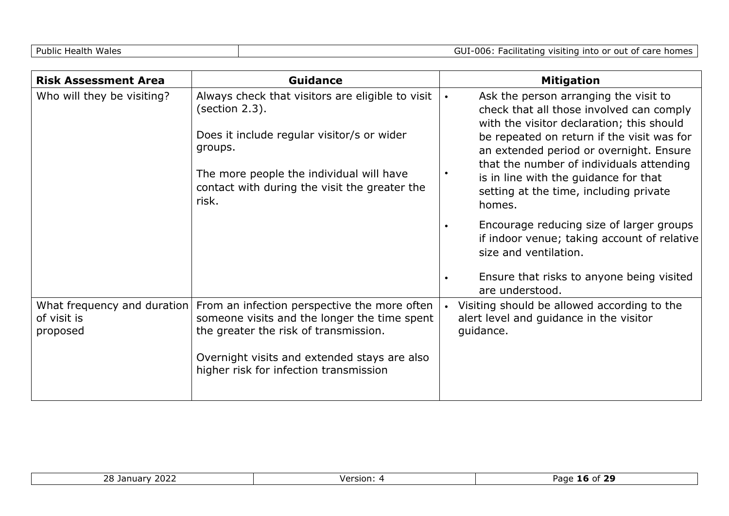| <b>Risk Assessment Area</b> | <b>Guidance</b>                                                                                                                                                                                                                                             |           | <b>Mitigation</b>                                                                                                                                                                                                                                                                                                                                                                                                                                                                                                                                    |
|-----------------------------|-------------------------------------------------------------------------------------------------------------------------------------------------------------------------------------------------------------------------------------------------------------|-----------|------------------------------------------------------------------------------------------------------------------------------------------------------------------------------------------------------------------------------------------------------------------------------------------------------------------------------------------------------------------------------------------------------------------------------------------------------------------------------------------------------------------------------------------------------|
| Who will they be visiting?  | Always check that visitors are eligible to visit<br>(section 2.3).<br>Does it include regular visitor/s or wider<br>groups.<br>The more people the individual will have<br>contact with during the visit the greater the<br>risk.                           | $\bullet$ | Ask the person arranging the visit to<br>check that all those involved can comply<br>with the visitor declaration; this should<br>be repeated on return if the visit was for<br>an extended period or overnight. Ensure<br>that the number of individuals attending<br>is in line with the guidance for that<br>setting at the time, including private<br>homes.<br>Encourage reducing size of larger groups<br>if indoor venue; taking account of relative<br>size and ventilation.<br>Ensure that risks to anyone being visited<br>are understood. |
| of visit is<br>proposed     | What frequency and duration From an infection perspective the more often<br>someone visits and the longer the time spent<br>the greater the risk of transmission.<br>Overnight visits and extended stays are also<br>higher risk for infection transmission |           | Visiting should be allowed according to the<br>alert level and guidance in the visitor<br>guidance.                                                                                                                                                                                                                                                                                                                                                                                                                                                  |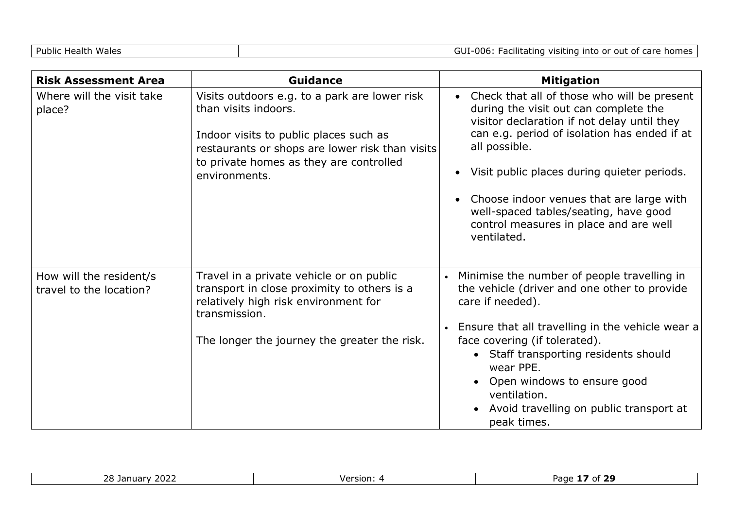| <b>Risk Assessment Area</b>                        | Guidance                                                                                                                                                                                                                       | <b>Mitigation</b>                                                                                                                                                                                                                                                                                                                                                                                              |
|----------------------------------------------------|--------------------------------------------------------------------------------------------------------------------------------------------------------------------------------------------------------------------------------|----------------------------------------------------------------------------------------------------------------------------------------------------------------------------------------------------------------------------------------------------------------------------------------------------------------------------------------------------------------------------------------------------------------|
| Where will the visit take<br>place?                | Visits outdoors e.g. to a park are lower risk<br>than visits indoors.<br>Indoor visits to public places such as<br>restaurants or shops are lower risk than visits<br>to private homes as they are controlled<br>environments. | Check that all of those who will be present<br>$\bullet$<br>during the visit out can complete the<br>visitor declaration if not delay until they<br>can e.g. period of isolation has ended if at<br>all possible.<br>Visit public places during quieter periods.<br>Choose indoor venues that are large with<br>well-spaced tables/seating, have good<br>control measures in place and are well<br>ventilated. |
| How will the resident/s<br>travel to the location? | Travel in a private vehicle or on public<br>transport in close proximity to others is a<br>relatively high risk environment for<br>transmission.<br>The longer the journey the greater the risk.                               | Minimise the number of people travelling in<br>the vehicle (driver and one other to provide<br>care if needed).<br>Ensure that all travelling in the vehicle wear a<br>face covering (if tolerated).<br>• Staff transporting residents should<br>wear PPE.<br>• Open windows to ensure good<br>ventilation.<br>Avoid travelling on public transport at<br>peak times.                                          |

| ררחר<br>28<br>Jani<br>. iudrv<br>ZUZZ | Version: | <u>ъс</u><br>$\cdots$<br>e.<br>.<br>au |
|---------------------------------------|----------|----------------------------------------|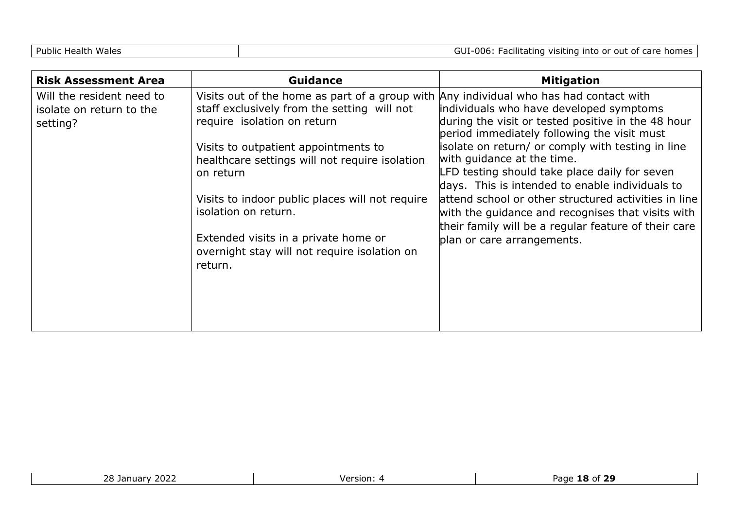| <b>Risk Assessment Area</b>                                       | <b>Guidance</b>                                                                                                                                                      | <b>Mitigation</b>                                                                                                                                                                   |
|-------------------------------------------------------------------|----------------------------------------------------------------------------------------------------------------------------------------------------------------------|-------------------------------------------------------------------------------------------------------------------------------------------------------------------------------------|
| Will the resident need to<br>isolate on return to the<br>setting? | Visits out of the home as part of a group with Any individual who has had contact with<br>staff exclusively from the setting will not<br>require isolation on return | individuals who have developed symptoms<br>during the visit or tested positive in the 48 hour<br>period immediately following the visit must                                        |
|                                                                   | Visits to outpatient appointments to<br>healthcare settings will not require isolation<br>on return                                                                  | isolate on return/ or comply with testing in line<br>with quidance at the time.<br>LFD testing should take place daily for seven<br>days. This is intended to enable individuals to |
|                                                                   | Visits to indoor public places will not require<br>isolation on return.                                                                                              | attend school or other structured activities in line<br>with the guidance and recognises that visits with<br>their family will be a regular feature of their care                   |
|                                                                   | Extended visits in a private home or<br>overnight stay will not require isolation on<br>return.                                                                      | plan or care arrangements.                                                                                                                                                          |

| $\sim$ $\sim$ $\sim$<br>$\sim$<br>Id I<br>zo<br><b>LULL</b><br>. | $\cdot$ . $\sim$<br>aut :<br>. . |
|------------------------------------------------------------------|----------------------------------|
|                                                                  |                                  |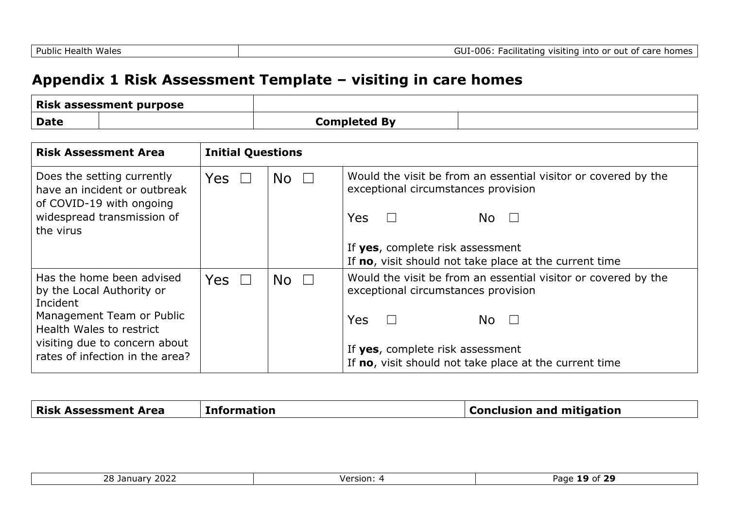## **Appendix 1 Risk Assessment Template – visiting in care homes**

|             | <b>Risk assessment purpose</b> |                     |  |
|-------------|--------------------------------|---------------------|--|
| <b>Date</b> |                                | <b>Completed By</b> |  |

| <b>Risk Assessment Area</b>                                                                                                                                                                     | <b>Initial Questions</b> |                                 |                                                                                                                                                                                                                                          |
|-------------------------------------------------------------------------------------------------------------------------------------------------------------------------------------------------|--------------------------|---------------------------------|------------------------------------------------------------------------------------------------------------------------------------------------------------------------------------------------------------------------------------------|
| Does the setting currently<br>have an incident or outbreak<br>of COVID-19 with ongoing<br>widespread transmission of<br>the virus                                                               | Yes $\Box$               | $\overline{\mathsf{No}}$ $\Box$ | Would the visit be from an essential visitor or covered by the<br>exceptional circumstances provision<br><b>Yes</b><br>$\Box$<br>No $\Box$<br>If yes, complete risk assessment<br>If no, visit should not take place at the current time |
| Has the home been advised<br>by the Local Authority or<br>Incident<br>Management Team or Public<br>Health Wales to restrict<br>visiting due to concern about<br>rates of infection in the area? | Yes $\square$            | $No$ $\Box$                     | Would the visit be from an essential visitor or covered by the<br>exceptional circumstances provision<br><b>Yes</b><br>No $\Box$<br>If yes, complete risk assessment<br>If no, visit should not take place at the current time           |

| <b>Risk Assessment Area</b> | <b>Information</b> | <b>Conclusion and mitigation</b> |
|-----------------------------|--------------------|----------------------------------|
|                             |                    |                                  |

| ־רחר<br>າຂ<br>25<br>$-1$<br>ъ.<br>∵ZUZ∠<br>Tuarv<br>∠∪ | Version | ີ 20<br>Page<br>OT.<br>У<br>--<br>__ |
|--------------------------------------------------------|---------|--------------------------------------|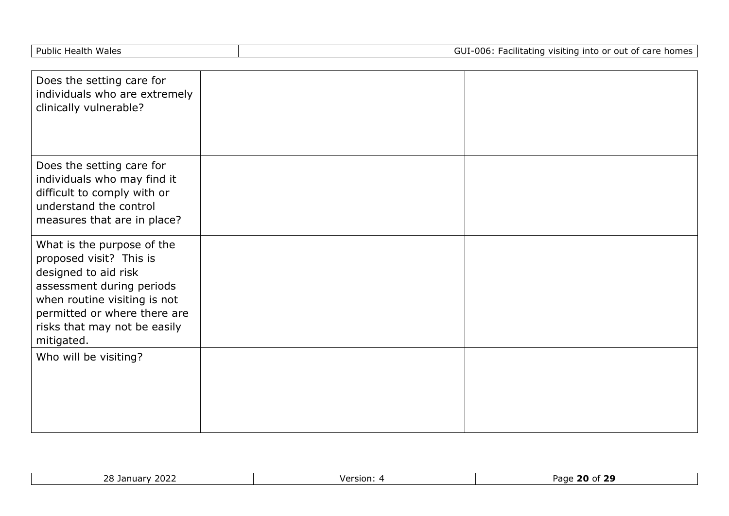| Does the setting care for<br>individuals who are extremely<br>clinically vulnerable?                                                                                                                                     |  |
|--------------------------------------------------------------------------------------------------------------------------------------------------------------------------------------------------------------------------|--|
| Does the setting care for<br>individuals who may find it<br>difficult to comply with or<br>understand the control<br>measures that are in place?                                                                         |  |
| What is the purpose of the<br>proposed visit? This is<br>designed to aid risk<br>assessment during periods<br>when routine visiting is not<br>permitted or where there are<br>risks that may not be easily<br>mitigated. |  |
| Who will be visiting?                                                                                                                                                                                                    |  |

| $\cdot \cdot$ none<br>$\mathbf{a}$<br>Januar<br>2022<br>r v<br>້ | Version. | - -<br>20<br>eמב∪<br>70<br>ot :<br>'dut |
|------------------------------------------------------------------|----------|-----------------------------------------|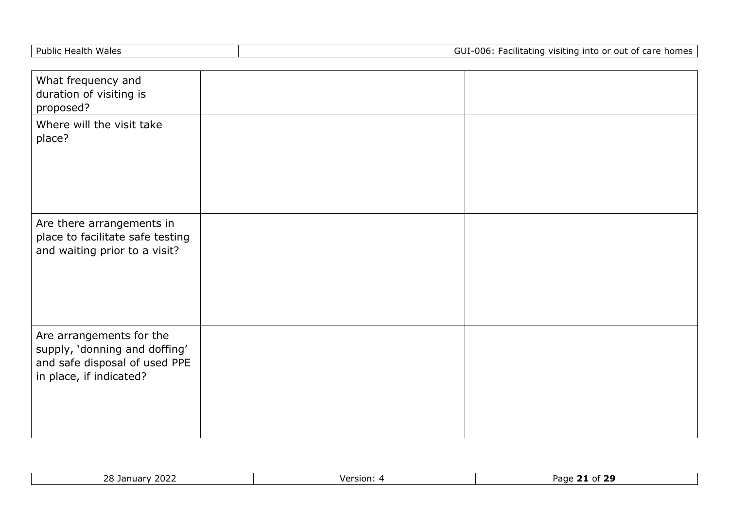| Public Health Wales |  |  |
|---------------------|--|--|
|---------------------|--|--|

| What frequency and<br>duration of visiting is<br>proposed?                                                            |  |
|-----------------------------------------------------------------------------------------------------------------------|--|
| Where will the visit take<br>place?                                                                                   |  |
| Are there arrangements in<br>place to facilitate safe testing<br>and waiting prior to a visit?                        |  |
| Are arrangements for the<br>supply, 'donning and doffing'<br>and safe disposal of used PPE<br>in place, if indicated? |  |

| $\sim$ $\sim$ $\sim$<br>--<br>ിറ<br>Page<br>Version:<br>- 71<br>′ ∠U∠⊾<br>$\overline{\phantom{a}}$<br>шаг<br>Jal<br>$\cdot$ $\cdot$<br>$\overline{\phantom{0}}$ |  |
|-----------------------------------------------------------------------------------------------------------------------------------------------------------------|--|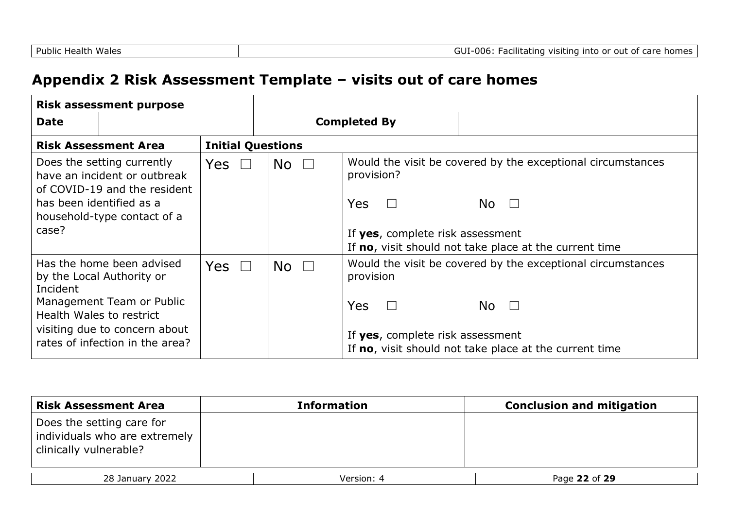## **Appendix 2 Risk Assessment Template – visits out of care homes**

| <b>Risk assessment purpose</b>                                                                                                                                                                  |                          |                                 |                                                                                                                                                                                                              |                                                                                                                                       |
|-------------------------------------------------------------------------------------------------------------------------------------------------------------------------------------------------|--------------------------|---------------------------------|--------------------------------------------------------------------------------------------------------------------------------------------------------------------------------------------------------------|---------------------------------------------------------------------------------------------------------------------------------------|
| <b>Date</b>                                                                                                                                                                                     |                          | <b>Completed By</b>             |                                                                                                                                                                                                              |                                                                                                                                       |
| <b>Risk Assessment Area</b>                                                                                                                                                                     | <b>Initial Questions</b> |                                 |                                                                                                                                                                                                              |                                                                                                                                       |
| Does the setting currently<br>have an incident or outbreak<br>of COVID-19 and the resident<br>has been identified as a<br>household-type contact of a<br>case?                                  | Yes $\Box$               | $\overline{\mathsf{No}}$ $\Box$ | Would the visit be covered by the exceptional circumstances<br>provision?<br><b>Yes</b><br>$\Box$<br>No $\Box$<br>If yes, complete risk assessment<br>If no, visit should not take place at the current time |                                                                                                                                       |
| Has the home been advised<br>by the Local Authority or<br>Incident<br>Management Team or Public<br>Health Wales to restrict<br>visiting due to concern about<br>rates of infection in the area? | Yes $\square$            | No $\square$                    | provision<br><b>Yes</b><br>$\perp$<br>If yes, complete risk assessment                                                                                                                                       | Would the visit be covered by the exceptional circumstances<br>No $\square$<br>If no, visit should not take place at the current time |

| <b>Risk Assessment Area</b>                                                          | <b>Information</b> | <b>Conclusion and mitigation</b> |
|--------------------------------------------------------------------------------------|--------------------|----------------------------------|
| Does the setting care for<br>individuals who are extremely<br>clinically vulnerable? |                    |                                  |
| 28 January 2022                                                                      | Version: 4         | Page 22 of 29                    |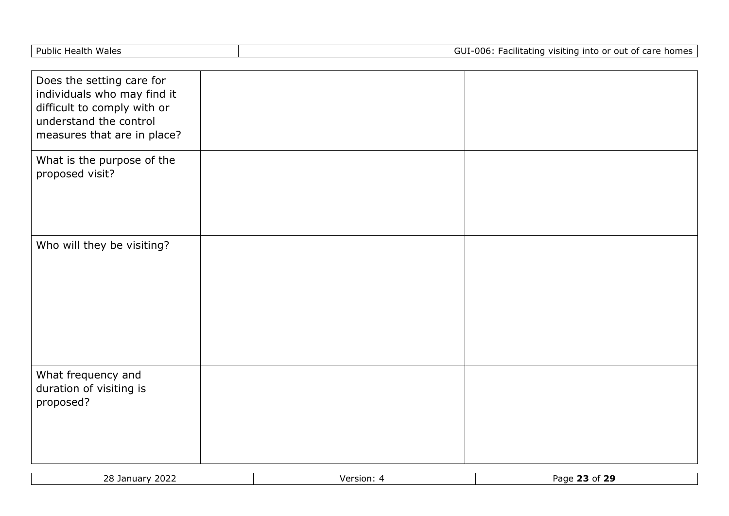| <b>Public Health Wales</b>                                                                                                                       | GUI-006: Facilitating visiting into or out of care homes |  |
|--------------------------------------------------------------------------------------------------------------------------------------------------|----------------------------------------------------------|--|
|                                                                                                                                                  |                                                          |  |
| Does the setting care for<br>individuals who may find it<br>difficult to comply with or<br>understand the control<br>measures that are in place? |                                                          |  |
| What is the purpose of the<br>proposed visit?                                                                                                    |                                                          |  |
| Who will they be visiting?                                                                                                                       |                                                          |  |
| What frequency and<br>duration of visiting is<br>proposed?                                                                                       |                                                          |  |

| 2022<br>28 <sub>1</sub><br>Tanuary | Version: | .<br>Page<br>~<br>-49<br>וט י<br>23 |
|------------------------------------|----------|-------------------------------------|
|                                    |          |                                     |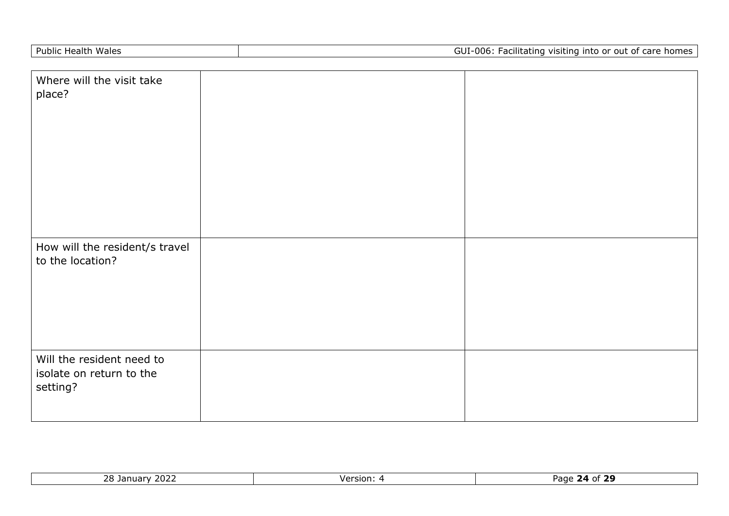| Where will the visit take<br>place?                               |  |
|-------------------------------------------------------------------|--|
| How will the resident/s travel<br>to the location?                |  |
| Will the resident need to<br>isolate on return to the<br>setting? |  |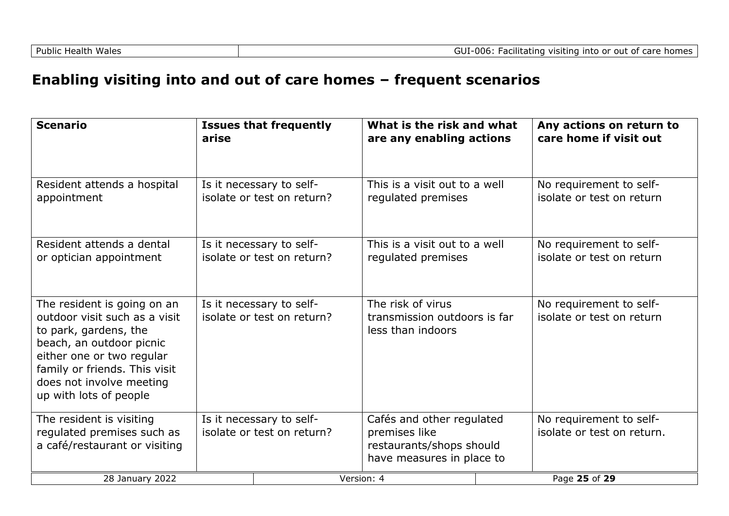## **Enabling visiting into and out of care homes – frequent scenarios**

| <b>Scenario</b>                                                                                                                                                                                                                       | arise | <b>Issues that frequently</b>                          | What is the risk and what<br>are any enabling actions                                               | Any actions on return to<br>care home if visit out    |
|---------------------------------------------------------------------------------------------------------------------------------------------------------------------------------------------------------------------------------------|-------|--------------------------------------------------------|-----------------------------------------------------------------------------------------------------|-------------------------------------------------------|
| Resident attends a hospital<br>appointment                                                                                                                                                                                            |       | Is it necessary to self-<br>isolate or test on return? | This is a visit out to a well<br>regulated premises                                                 | No requirement to self-<br>isolate or test on return  |
| Resident attends a dental<br>or optician appointment                                                                                                                                                                                  |       | Is it necessary to self-<br>isolate or test on return? | This is a visit out to a well<br>regulated premises                                                 | No requirement to self-<br>isolate or test on return  |
| The resident is going on an<br>outdoor visit such as a visit<br>to park, gardens, the<br>beach, an outdoor picnic<br>either one or two regular<br>family or friends. This visit<br>does not involve meeting<br>up with lots of people |       | Is it necessary to self-<br>isolate or test on return? | The risk of virus<br>transmission outdoors is far<br>less than indoors                              | No requirement to self-<br>isolate or test on return  |
| The resident is visiting<br>regulated premises such as<br>a café/restaurant or visiting                                                                                                                                               |       | Is it necessary to self-<br>isolate or test on return? | Cafés and other regulated<br>premises like<br>restaurants/shops should<br>have measures in place to | No requirement to self-<br>isolate or test on return. |
| 28 January 2022                                                                                                                                                                                                                       |       |                                                        | Version: 4                                                                                          | Page 25 of 29                                         |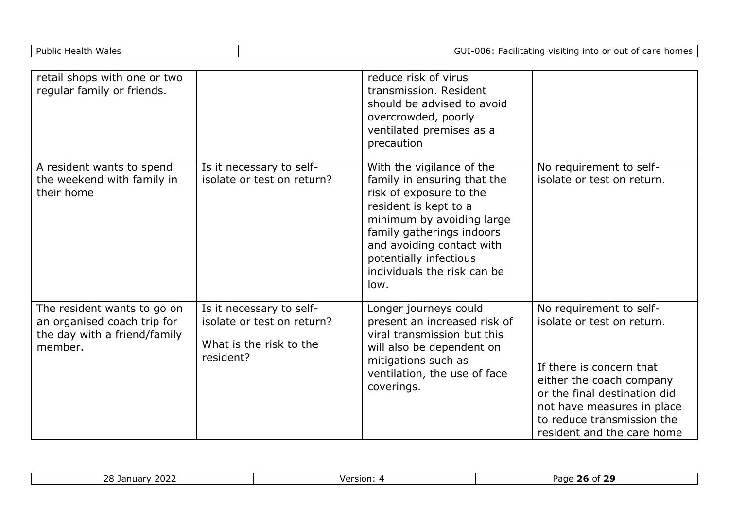|  | <b>Public Health Wales</b> |
|--|----------------------------|
|  |                            |

GUI-006: Facilitating visiting into or out of care homes

| retail shops with one or two<br>regular family or friends.                                            |                                                                                                | reduce risk of virus<br>transmission. Resident<br>should be advised to avoid<br>overcrowded, poorly<br>ventilated premises as a<br>precaution                                                                                                                        |                                                                                                                                                                                                                                         |
|-------------------------------------------------------------------------------------------------------|------------------------------------------------------------------------------------------------|----------------------------------------------------------------------------------------------------------------------------------------------------------------------------------------------------------------------------------------------------------------------|-----------------------------------------------------------------------------------------------------------------------------------------------------------------------------------------------------------------------------------------|
| A resident wants to spend<br>the weekend with family in<br>their home                                 | Is it necessary to self-<br>isolate or test on return?                                         | With the vigilance of the<br>family in ensuring that the<br>risk of exposure to the<br>resident is kept to a<br>minimum by avoiding large<br>family gatherings indoors<br>and avoiding contact with<br>potentially infectious<br>individuals the risk can be<br>low. | No requirement to self-<br>isolate or test on return.                                                                                                                                                                                   |
| The resident wants to go on<br>an organised coach trip for<br>the day with a friend/family<br>member. | Is it necessary to self-<br>isolate or test on return?<br>What is the risk to the<br>resident? | Longer journeys could<br>present an increased risk of<br>viral transmission but this<br>will also be dependent on<br>mitigations such as<br>ventilation, the use of face<br>coverings.                                                                               | No requirement to self-<br>isolate or test on return.<br>If there is concern that<br>either the coach company<br>or the final destination did<br>not have measures in place<br>to reduce transmission the<br>resident and the care home |

| 2022<br>$\sim$ $\sim$<br>.<br>ianuar<br>ـ ب | Version: | ີ 20<br>Page<br>Ωt |
|---------------------------------------------|----------|--------------------|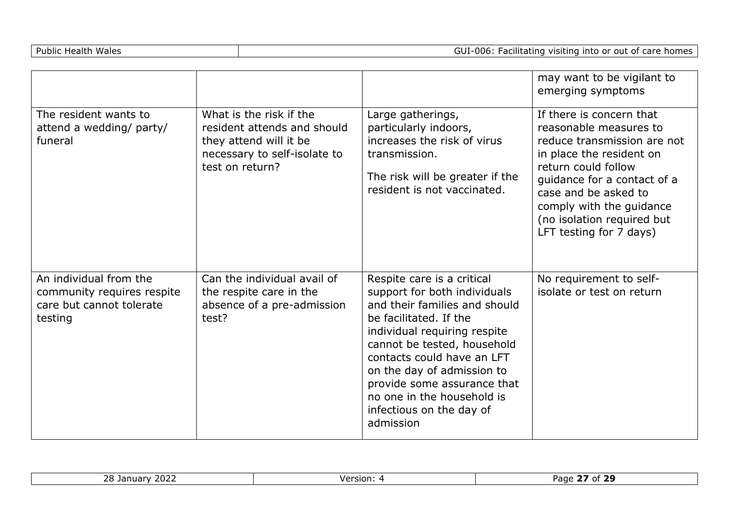|                                                                                             |                                                                                                                                     |                                                                                                                                                                                                                                                                                                                                                        | may want to be vigilant to<br>emerging symptoms                                                                                                                                                                                                                                  |
|---------------------------------------------------------------------------------------------|-------------------------------------------------------------------------------------------------------------------------------------|--------------------------------------------------------------------------------------------------------------------------------------------------------------------------------------------------------------------------------------------------------------------------------------------------------------------------------------------------------|----------------------------------------------------------------------------------------------------------------------------------------------------------------------------------------------------------------------------------------------------------------------------------|
| The resident wants to<br>attend a wedding/ party/<br>funeral                                | What is the risk if the<br>resident attends and should<br>they attend will it be<br>necessary to self-isolate to<br>test on return? | Large gatherings,<br>particularly indoors,<br>increases the risk of virus<br>transmission.<br>The risk will be greater if the<br>resident is not vaccinated.                                                                                                                                                                                           | If there is concern that<br>reasonable measures to<br>reduce transmission are not<br>in place the resident on<br>return could follow<br>guidance for a contact of a<br>case and be asked to<br>comply with the guidance<br>(no isolation required but<br>LFT testing for 7 days) |
| An individual from the<br>community requires respite<br>care but cannot tolerate<br>testing | Can the individual avail of<br>the respite care in the<br>absence of a pre-admission<br>test?                                       | Respite care is a critical<br>support for both individuals<br>and their families and should<br>be facilitated. If the<br>individual requiring respite<br>cannot be tested, household<br>contacts could have an LFT<br>on the day of admission to<br>provide some assurance that<br>no one in the household is<br>infectious on the day of<br>admission | No requirement to self-<br>isolate or test on return                                                                                                                                                                                                                             |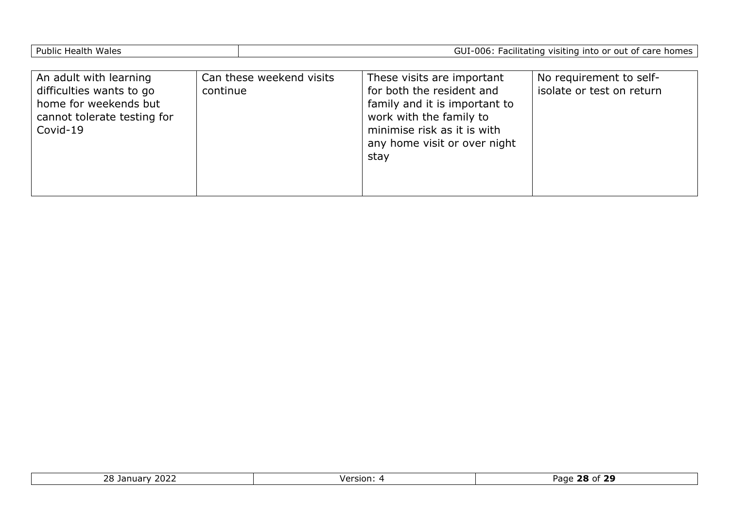|--|

| An adult with learning<br>difficulties wants to go<br>home for weekends but<br>cannot tolerate testing for<br>Covid-19 | Can these weekend visits<br>continue | These visits are important<br>for both the resident and<br>family and it is important to<br>work with the family to<br>minimise risk as it is with<br>any home visit or over night<br>stay | No requirement to self-<br>isolate or test on return |
|------------------------------------------------------------------------------------------------------------------------|--------------------------------------|--------------------------------------------------------------------------------------------------------------------------------------------------------------------------------------------|------------------------------------------------------|
|                                                                                                                        |                                      |                                                                                                                                                                                            |                                                      |

| $\sim$ $\sim$ $\sim$<br>$\sim$ $\sim$<br>Tani<br>ZUZZ | . Version | --<br>Pane<br>20 |
|-------------------------------------------------------|-----------|------------------|
|                                                       |           |                  |